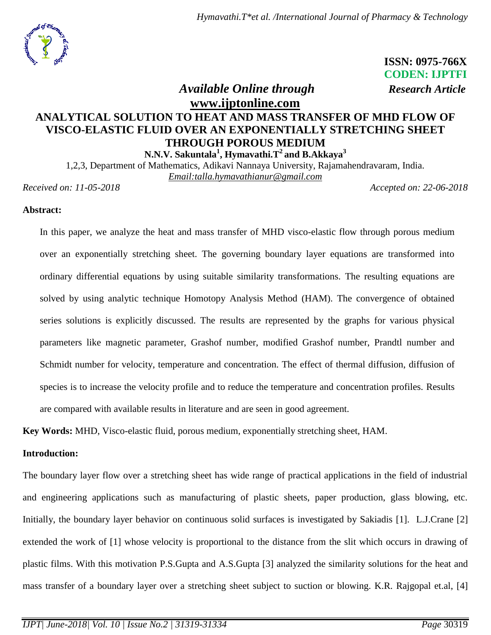

 **ISSN: 0975-766X CODEN: IJPTFI**

 *Available Online through Research Article*

# **[www.ijptonline.com](http://www.ijptonline.com/) ANALYTICAL SOLUTION TO HEAT AND MASS TRANSFER OF MHD FLOW OF VISCO-ELASTIC FLUID OVER AN EXPONENTIALLY STRETCHING SHEET THROUGH POROUS MEDIUM**

**N.N.V. Sakuntala<sup>1</sup> , Hymavathi.T<sup>2</sup> and B.Akkaya<sup>3</sup>**

1,2,3, Department of Mathematics, Adikavi Nannaya University, Rajamahendravaram, India. *Email:talla.hymavathianur@gmail.com*

*Received on: 11-05-2018 Accepted on: 22-06-2018*

# **Abstract:**

In this paper, we analyze the heat and mass transfer of MHD visco-elastic flow through porous medium over an exponentially stretching sheet. The governing boundary layer equations are transformed into ordinary differential equations by using suitable similarity transformations. The resulting equations are solved by using analytic technique Homotopy Analysis Method (HAM). The convergence of obtained series solutions is explicitly discussed. The results are represented by the graphs for various physical parameters like magnetic parameter, Grashof number, modified Grashof number, Prandtl number and Schmidt number for velocity, temperature and concentration. The effect of thermal diffusion, diffusion of species is to increase the velocity profile and to reduce the temperature and concentration profiles. Results are compared with available results in literature and are seen in good agreement.

**Key Words:** MHD, Visco-elastic fluid, porous medium, exponentially stretching sheet, HAM.

## **Introduction:**

The boundary layer flow over a stretching sheet has wide range of practical applications in the field of industrial and engineering applications such as manufacturing of plastic sheets, paper production, glass blowing, etc. Initially, the boundary layer behavior on continuous solid surfaces is investigated by Sakiadis [1]. L.J.Crane [2] extended the work of [1] whose velocity is proportional to the distance from the slit which occurs in drawing of plastic films. With this motivation P.S.Gupta and A.S.Gupta [3] analyzed the similarity solutions for the heat and mass transfer of a boundary layer over a stretching sheet subject to suction or blowing. K.R. Rajgopal et.al, [4]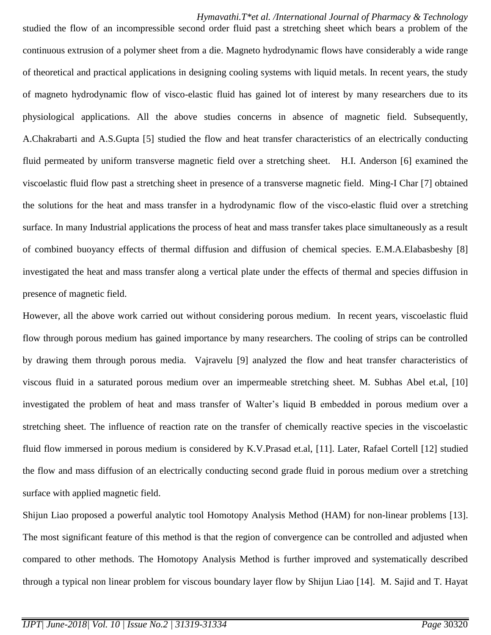studied the flow of an incompressible second order fluid past a stretching sheet which bears a problem of the continuous extrusion of a polymer sheet from a die. Magneto hydrodynamic flows have considerably a wide range of theoretical and practical applications in designing cooling systems with liquid metals. In recent years, the study of magneto hydrodynamic flow of visco-elastic fluid has gained lot of interest by many researchers due to its physiological applications. All the above studies concerns in absence of magnetic field. Subsequently, A.Chakrabarti and A.S.Gupta [5] studied the flow and heat transfer characteristics of an electrically conducting fluid permeated by uniform transverse magnetic field over a stretching sheet. H.I. Anderson [6] examined the viscoelastic fluid flow past a stretching sheet in presence of a transverse magnetic field. Ming-I Char [7] obtained the solutions for the heat and mass transfer in a hydrodynamic flow of the visco-elastic fluid over a stretching surface. In many Industrial applications the process of heat and mass transfer takes place simultaneously as a result of combined buoyancy effects of thermal diffusion and diffusion of chemical species. E.M.A.Elabasbeshy [8] investigated the heat and mass transfer along a vertical plate under the effects of thermal and species diffusion in presence of magnetic field.

However, all the above work carried out without considering porous medium. In recent years, viscoelastic fluid flow through porous medium has gained importance by many researchers. The cooling of strips can be controlled by drawing them through porous media. Vajravelu [9] analyzed the flow and heat transfer characteristics of viscous fluid in a saturated porous medium over an impermeable stretching sheet. M. Subhas Abel et.al, [10] investigated the problem of heat and mass transfer of Walter's liquid B embedded in porous medium over a stretching sheet. The influence of reaction rate on the transfer of chemically reactive species in the viscoelastic fluid flow immersed in porous medium is considered by K.V.Prasad et.al, [11]. Later, Rafael Cortell [12] studied the flow and mass diffusion of an electrically conducting second grade fluid in porous medium over a stretching surface with applied magnetic field.

Shijun Liao proposed a powerful analytic tool Homotopy Analysis Method (HAM) for non-linear problems [13]. The most significant feature of this method is that the region of convergence can be controlled and adjusted when compared to other methods. The Homotopy Analysis Method is further improved and systematically described through a typical non linear problem for viscous boundary layer flow by Shijun Liao [14]. M. Sajid and T. Hayat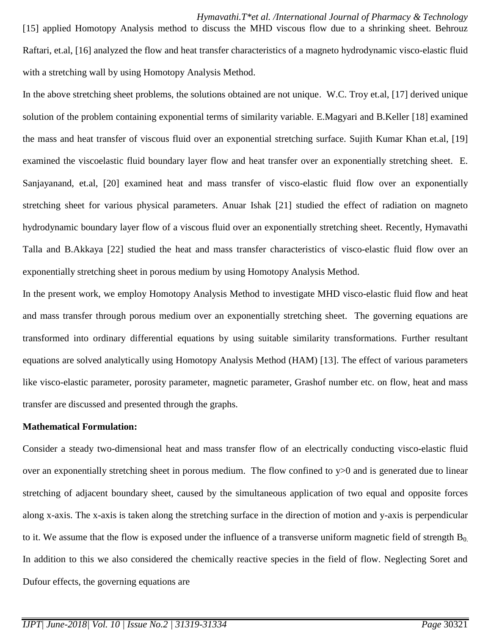[15] applied Homotopy Analysis method to discuss the MHD viscous flow due to a shrinking sheet. Behrouz Raftari, et.al, [16] analyzed the flow and heat transfer characteristics of a magneto hydrodynamic visco-elastic fluid with a stretching wall by using Homotopy Analysis Method.

In the above stretching sheet problems, the solutions obtained are not unique. W.C. Troy et.al, [17] derived unique solution of the problem containing exponential terms of similarity variable. E.Magyari and B.Keller [18] examined the mass and heat transfer of viscous fluid over an exponential stretching surface. Sujith Kumar Khan et.al, [19] examined the viscoelastic fluid boundary layer flow and heat transfer over an exponentially stretching sheet. E. Sanjayanand, et.al, [20] examined heat and mass transfer of visco-elastic fluid flow over an exponentially stretching sheet for various physical parameters. Anuar Ishak [21] studied the effect of radiation on magneto hydrodynamic boundary layer flow of a viscous fluid over an exponentially stretching sheet. Recently, Hymavathi Talla and B.Akkaya [22] studied the heat and mass transfer characteristics of visco-elastic fluid flow over an exponentially stretching sheet in porous medium by using Homotopy Analysis Method.

In the present work, we employ Homotopy Analysis Method to investigate MHD visco-elastic fluid flow and heat and mass transfer through porous medium over an exponentially stretching sheet. The governing equations are transformed into ordinary differential equations by using suitable similarity transformations. Further resultant equations are solved analytically using Homotopy Analysis Method (HAM) [13]. The effect of various parameters like visco-elastic parameter, porosity parameter, magnetic parameter, Grashof number etc. on flow, heat and mass transfer are discussed and presented through the graphs.

## **Mathematical Formulation:**

Consider a steady two-dimensional heat and mass transfer flow of an electrically conducting visco-elastic fluid over an exponentially stretching sheet in porous medium. The flow confined to y>0 and is generated due to linear stretching of adjacent boundary sheet, caused by the simultaneous application of two equal and opposite forces along x-axis. The x-axis is taken along the stretching surface in the direction of motion and y-axis is perpendicular to it. We assume that the flow is exposed under the influence of a transverse uniform magnetic field of strength  $B_0$ . In addition to this we also considered the chemically reactive species in the field of flow. Neglecting Soret and Dufour effects, the governing equations are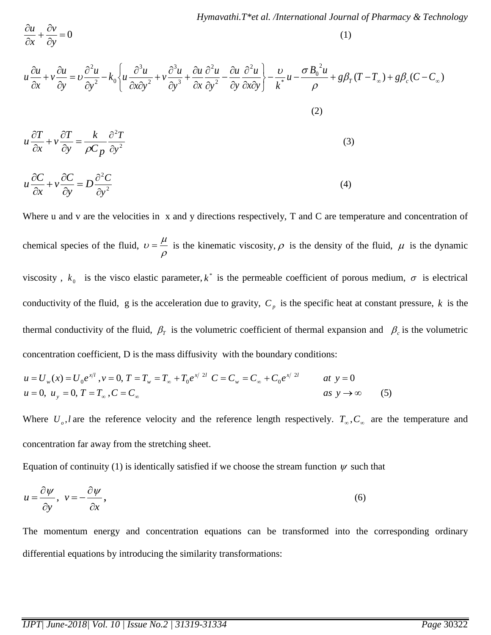$=0$  $\partial$  $+\frac{\partial}{\partial}$  $\partial$  $\partial$ *y v x u* (1)  $(T - T_{\infty}) + g\beta_c(C - C_{\infty})$ 2 0 \* 2 2 2 3 3 2 3 2  $\mathbf{v}_0$ 2  $-\frac{C}{I_*^*}u - \frac{C}{I_*^*}u + g\beta_T(T-T_{\infty}) + g\beta_c(C-C_{\infty})$  $\int$  $\left\{ \right\}$  $\mathbf{I}$  $\overline{\mathcal{L}}$ ╎  $\left| \right|$  $\partial x\partial$  $\partial$  $\partial$  $\partial$  $\overline{a}$  $\partial$  $\partial$  $\partial$  $\partial$  $\ddot{}$  $\partial$  $\partial$  $\ddot{}$  $\partial x\partial$  $\partial$  $\overline{a}$  $\partial$  $\partial$  $=$ д  $\partial$  $\ddot{}$  $\partial$  $\partial$  $g\beta_r(T-T_\infty)+g\beta_c(C-C)$  $B_0^{\ 2}u$ *u x y k u y u y u x u y u v x y u*  $k_0 \leq u$ *y u y u v x u*  $u \frac{\partial u}{\partial x} + v \frac{\partial u}{\partial y} = v \frac{\partial u}{\partial x} - k_0 \left\{ u \frac{\partial u}{\partial y} + v \frac{\partial u}{\partial y} + \frac{\partial u}{\partial y} \frac{\partial u}{\partial z} + \frac{\partial u}{\partial y} \frac{\partial u}{\partial z} \right\} - \frac{\partial u}{\partial y} + u \frac{\partial u}{\partial y} + g \beta_T (T - T_{\infty}) + g \beta_c$  $\rho$  $\nu$   $\sigma$ υ (2) 2 2 *y T Cp k y*  $v \frac{\partial T}{\partial x}$ *x*  $u \frac{\partial T}{\partial x}$  $\partial$  $=\frac{k}{\sqrt{2}}\frac{\partial}{\partial x}$  $\partial$  $+v\frac{\partial}{\partial x}$  $\partial$  $\partial$  $\rho$  (3) 2 2  $D\frac{\partial^2 C}{\partial x^2}$ *y*  $v \frac{\partial C}{\partial r}$ *x*  $u \frac{\partial C}{\partial x}$  $= D \frac{\partial}{\partial x}$  $\partial$  $+v\frac{\partial}{\partial x}$  $\partial$  $\partial$ (4)

Where u and v are the velocities in x and y directions respectively, T and C are temperature and concentration of chemical species of the fluid,  $\rho$  $\nu = \frac{\mu}{\epsilon}$  is the kinematic viscosity,  $\rho$  is the density of the fluid,  $\mu$  is the dynamic viscosity,  $k_0$  is the visco elastic parameter,  $k^*$  is the permeable coefficient of porous medium,  $\sigma$  is electrical conductivity of the fluid, g is the acceleration due to gravity,  $C_p$  is the specific heat at constant pressure, k is the thermal conductivity of the fluid,  $\beta_{\tau}$  is the volumetric coefficient of thermal expansion and  $\beta_c$  is the volumetric concentration coefficient, D is the mass diffusivity with the boundary conditions:

$$
u = U_w(x) = U_0 e^{x/l}, v = 0, T = T_w = T_{\infty} + T_0 e^{x/2l} \quad C = C_w = C_{\infty} + C_0 e^{x/2l} \quad at \quad y = 0
$$
  
\n
$$
u = 0, u_y = 0, T = T_{\infty}, C = C_{\infty}
$$

Where  $U_o$ , l are the reference velocity and the reference length respectively.  $T_o$ ,  $C_o$  are the temperature and concentration far away from the stretching sheet.

Equation of continuity (1) is identically satisfied if we choose the stream function  $\psi$  such that

$$
u = \frac{\partial \psi}{\partial y}, \quad v = -\frac{\partial \psi}{\partial x}, \tag{6}
$$

The momentum energy and concentration equations can be transformed into the corresponding ordinary differential equations by introducing the similarity transformations:

*y*

 $\partial$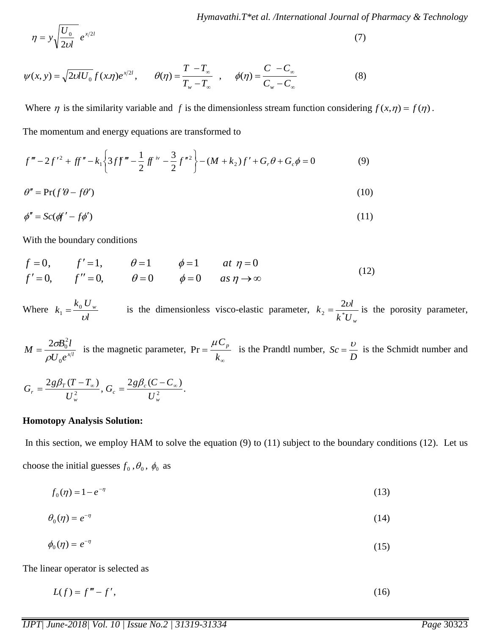$$
\eta = y \sqrt{\frac{U_0}{2\nu l}} \quad e^{x/2l} \tag{7}
$$

$$
\psi(x, y) = \sqrt{2\nu U_0} f(x, \eta) e^{x/2t}, \qquad \theta(\eta) = \frac{T - T_{\infty}}{T_w - T_{\infty}}, \qquad \phi(\eta) = \frac{C - C_{\infty}}{C_w - C_{\infty}}
$$
(8)

Where  $\eta$  is the similarity variable and f is the dimensionless stream function considering  $f(x, \eta) = f(\eta)$ . The momentum and energy equations are transformed to

 $(M + k_2)f' + G_r \theta + G_c \phi = 0$ 2 3 2  $2f'^2 + ff'' - k_1 \left\{ 3ff''' - \frac{1}{2}ff^{iv} - \frac{3}{2}f''^2 \right\} - (M + k_2)$ 1  $2^2 + ff'' - k_1 \left\{ 3ff''' - \frac{1}{2}ff^{iv} - \frac{3}{2}f''^2 \right\} - (M + k_2)f' + G_v\theta + G_v\phi =$ J  $\left\{ \right\}$  $\mathbf{I}$  $\overline{\mathcal{L}}$ ╎  $f''' - 2f'^2 + ff'' - k_1 \left\{ 3ff''' - \frac{1}{2}ff^{iv} - \frac{3}{2}f''^2 \right\} - (M + k_2)f' + G_r \theta + G_c \phi = 0$  (9)

$$
\theta'' = \Pr(f'\theta - f\theta')\tag{10}
$$

$$
\phi'' = Sc(\phi f' - f\phi')\tag{11}
$$

With the boundary conditions

 $\ell' = 0,$   $f'' = 0,$   $\theta = 0$   $\phi = 0$   $as \eta \rightarrow \infty$  $= 0,$   $f' = 1,$   $\theta = 1$   $\phi = 1$  at  $\eta =$  $\theta = 0$   $\phi = 0$  as  $\eta$  $\theta = 1$   $\phi = 1$  at  $\eta$  $f' = 0,$   $f'' = 0,$   $\theta = 0$   $\phi = 0$  as  $f = 0$ ,  $f' = 1$ ,  $\theta = 1$   $\phi = 1$  at 0,  $f'' = 0$ ,  $\theta = 0$   $\phi = 0$ 0,  $f' = 1$ ,  $\theta = 1$   $\phi = 1$  at  $\eta = 0$ (12)

Where *l*  $k_0 U$  $k_1 = \frac{\kappa_0 C_w}{I}$ υ  $\sum_{i=1}^{\infty} \frac{\omega_{i}}{\omega_{i}}$  is the dimensionless visco-elastic parameter,  $k^*U_{w}$  $k_2 = \frac{2\nu l}{\hbar^* I I}$  is the porosity parameter,

 $U_0e^{x/l}$  $B_{\rm 0}^2l$ *M* 0  $2\sigma B_0^2$  $\rho$  $=\frac{2\sigma B_0 l}{\sigma^2}$  is the magnetic parameter, ∞  $=$ *k*  $\Pr = \frac{\mu C_p}{I}$  is the Prandtl number, *D*  $Sc = \frac{U}{I}$  is the Schmidt number and

$$
G_r = \frac{2g\beta_T(T - T_\infty)}{U_w^2}, G_c = \frac{2g\beta_c(C - C_\infty)}{U_w^2}.
$$

#### **Homotopy Analysis Solution:**

In this section, we employ HAM to solve the equation (9) to (11) subject to the boundary conditions (12). Let us choose the initial guesses  $f_0$ ,  $\theta_0$ ,  $\phi_0$  as

$$
f_0(\eta) = 1 - e^{-\eta} \tag{13}
$$

$$
\theta_0(\eta) = e^{-\eta} \tag{14}
$$

$$
\phi_0(\eta) = e^{-\eta} \tag{15}
$$

The linear operator is selected as

$$
L(f) = f''' - f',\tag{16}
$$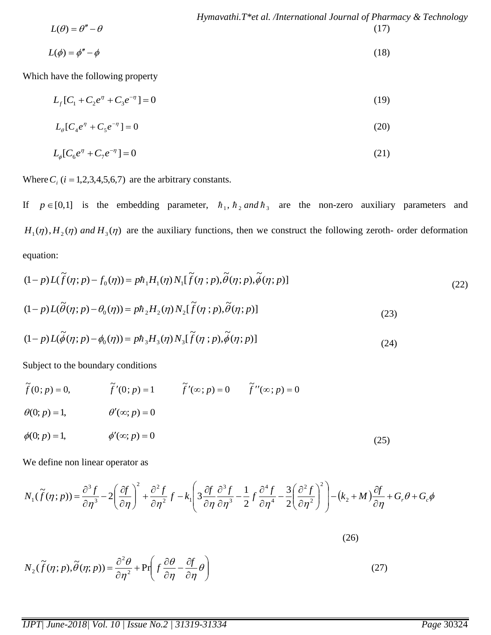$$
Hymavathi. T*et al. /International Journal of Pharmacy & Technology \nL(\theta) = \theta'' - \theta
$$
\n(17)

$$
L(\phi) = \phi'' - \phi \tag{18}
$$

Which have the following property

$$
L_f[C_1 + C_2 e^{\eta} + C_3 e^{-\eta}] = 0 \tag{19}
$$

$$
L_{\theta}[C_{4}e^{\eta} + C_{5}e^{-\eta}] = 0 \tag{20}
$$

$$
L_{\phi}[C_{6}e^{\eta} + C_{7}e^{-\eta}] = 0 \tag{21}
$$

Where  $C_i$  ( $i = 1,2,3,4,5,6,7$ ) are the arbitrary constants.

If  $p \in [0,1]$  is the embedding parameter,  $\hbar_1$ ,  $\hbar_2$  and  $\hbar_3$  are the non-zero auxiliary parameters and  $H_1(\eta)$ ,  $H_2(\eta)$  and  $H_3(\eta)$  are the auxiliary functions, then we construct the following zeroth- order deformation equation:

$$
(1-p)L(\tilde{f}(\eta;p)-f_0(\eta))=p\hbar_1H_1(\eta)N_1[\tilde{f}(\eta;p),\tilde{\theta}(\eta;p),\tilde{\phi}(\eta;p)]
$$
\n(22)

$$
(1-p)L(\tilde{\theta}(\eta;p)-\theta_0(\eta))=p\hbar_2H_2(\eta)N_2[\tilde{f}(\eta;p),\tilde{\theta}(\eta;p)]
$$
\n(23)

$$
(1-p)L(\tilde{\phi}(\eta;p)-\phi_0(\eta))=p\hbar_3H_3(\eta)N_3[\tilde{f}(\eta;p),\tilde{\phi}(\eta;p)]
$$
\n(24)

Subject to the boundary conditions

$$
\tilde{f}(0; p) = 0, \qquad \tilde{f}'(0; p) = 1 \qquad \tilde{f}'(\infty; p) = 0 \qquad \tilde{f}''(\infty; p) = 0
$$
  
\n
$$
\theta(0; p) = 1, \qquad \theta'(\infty; p) = 0
$$
  
\n
$$
\phi(0; p) = 1, \qquad \phi'(\infty; p) = 0
$$
  
\n(25)

We define non linear operator as

We define non linear operator as  
\n
$$
N_1(\tilde{f}(\eta;p)) = \frac{\partial^3 f}{\partial \eta^3} - 2\left(\frac{\partial f}{\partial \eta}\right)^2 + \frac{\partial^2 f}{\partial \eta^2} f - k_1 \left(3\frac{\partial f}{\partial \eta}\frac{\partial^3 f}{\partial \eta^3} - \frac{1}{2}f\frac{\partial^4 f}{\partial \eta^4} - \frac{3}{2}\left(\frac{\partial^2 f}{\partial \eta^2}\right)^2\right) - (k_2 + M)\frac{\partial f}{\partial \eta} + G_r \theta + G_c \phi
$$

$$
N_2(\tilde{f}(\eta;p),\tilde{\theta}(\eta;p)) = \frac{\partial^2 \theta}{\partial \eta^2} + \Pr\left(f\frac{\partial \theta}{\partial \eta} - \frac{\partial f}{\partial \eta}\theta\right)
$$
(27)

(26)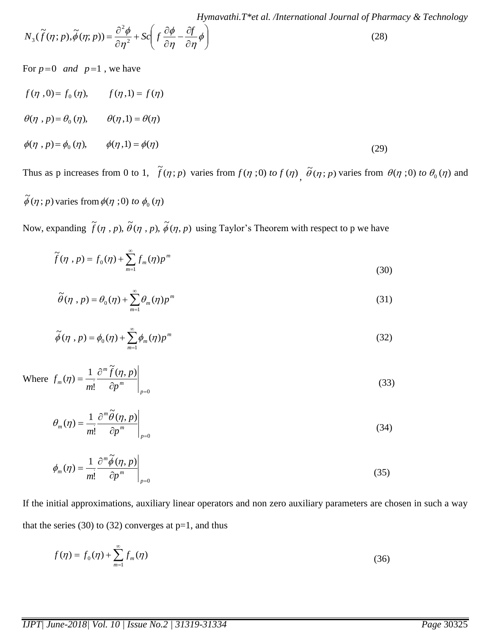$$
N_3(\tilde{f}(\eta;p),\tilde{\phi}(\eta;p)) = \frac{\partial^2 \phi}{\partial \eta^2} + Sc\left(f\frac{\partial \phi}{\partial \eta} - \frac{\partial f}{\partial \eta}\phi\right)
$$
(28)

For  $p=0$  *and*  $p=1$ , we have

$$
f(\eta, 0) = f_0(\eta), \qquad f(\eta, 1) = f(\eta)
$$
  
\n
$$
\theta(\eta, p) = \theta_0(\eta), \qquad \theta(\eta, 1) = \theta(\eta)
$$
  
\n
$$
\phi(\eta, p) = \phi_0(\eta), \qquad \phi(\eta, 1) = \phi(\eta)
$$
\n(29)

Thus as p increases from 0 to 1,  $\tilde{f}(\eta; p)$  varies from  $f(\eta; 0)$  to  $f(\eta)$ ,  $\tilde{\theta}(\eta; p)$  varies from  $\theta(\eta; 0)$  to  $\theta_0(\eta)$  and

$$
\tilde{\phi}(\eta;p) \text{ varies from } \phi(\eta;0) \text{ to } \phi_0(\eta)
$$

Now, expanding  $\tilde{f}(\eta, p)$ ,  $\tilde{\theta}(\eta, p)$ ,  $\tilde{\phi}(\eta, p)$  using Taylor's Theorem with respect to p we have

$$
\widetilde{f}(\eta, p) = f_0(\eta) + \sum_{m=1}^{\infty} f_m(\eta) p^m
$$
\n(30)

$$
\tilde{\theta}(\eta, p) = \theta_0(\eta) + \sum_{m=1}^{\infty} \theta_m(\eta) p^m
$$
\n(31)

$$
\widetilde{\phi}(\eta, p) = \phi_0(\eta) + \sum_{m=1}^{\infty} \phi_m(\eta) p^m
$$
\n(32)

Where 
$$
f_m(\eta) = \frac{1}{m!} \frac{\partial^m \tilde{f}(\eta, p)}{\partial p^m} \bigg|_{p=0}
$$
 (33)

$$
\theta_m(\eta) = \frac{1}{m!} \frac{\partial^m \widetilde{\theta}(\eta, p)}{\partial p^m} \bigg|_{p=0} \tag{34}
$$

$$
\phi_m(\eta) = \frac{1}{m!} \frac{\partial^m \widetilde{\phi}(\eta, p)}{\partial p^m} \bigg|_{p=0}
$$
\n(35)

If the initial approximations, auxiliary linear operators and non zero auxiliary parameters are chosen in such a way that the series  $(30)$  to  $(32)$  converges at p=1, and thus

$$
f(\eta) = f_0(\eta) + \sum_{m=1}^{\infty} f_m(\eta) \tag{36}
$$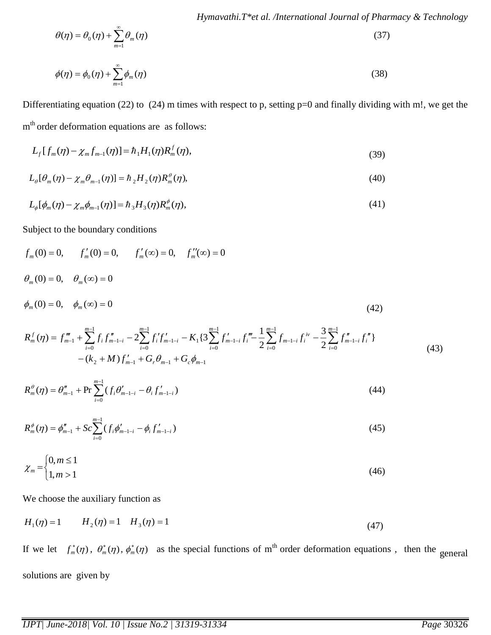$$
\theta(\eta) = \theta_0(\eta) + \sum_{m=1}^{\infty} \theta_m(\eta) \tag{37}
$$

$$
\phi(\eta) = \phi_0(\eta) + \sum_{m=1}^{\infty} \phi_m(\eta) \tag{38}
$$

Differentiating equation (22) to (24) m times with respect to p, setting  $p=0$  and finally dividing with m!, we get the m<sup>th</sup> order deformation equations are as follows:

$$
L_f[f_m(\eta) - \chi_m f_{m-1}(\eta)] = \hbar_1 H_1(\eta) R_m^f(\eta), \qquad (39)
$$

$$
L_{\theta}[\theta_m(\eta) - \chi_m \theta_{m-1}(\eta)] = \hbar {}_2 H_2(\eta) R_m^{\theta}(\eta), \qquad (40)
$$

$$
L_{\phi}[\phi_{m}(\eta) - \chi_{m}\phi_{m-1}(\eta)] = \hbar_{3}H_{3}(\eta)R_{m}^{\phi}(\eta), \qquad (41)
$$

Subject to the boundary conditions

$$
f_m(0) = 0, \t f'_m(0) = 0, \t f''_m(\infty) = 0, \t f''_m(\infty) = 0
$$
  
\n
$$
\theta_m(0) = 0, \t \theta_m(\infty) = 0
$$
  
\n
$$
\phi_m(0) = 0, \t \phi_m(\infty) = 0
$$
  
\n
$$
m-1 \t m-1 \t m-1 \t m-1
$$

$$
R_{m}^{f}(\eta) = f_{m-1}^{m} + \sum_{i=0}^{m-1} f_{i} f_{m-i-i}^{n} - 2 \sum_{i=0}^{m-1} f'_{i} f'_{m-i-i} - K_{1} \left\{ 3 \sum_{i=0}^{m-1} f'_{m-i-i} f''_{i} - \frac{1}{2} \sum_{i=0}^{m-1} f_{m-i-i} f^{iv}_{i} - \frac{3}{2} \sum_{i=0}^{m-1} f''_{m-i-i} f''_{i} \right\}
$$
\n
$$
- (k_{2} + M) f'_{m-1} + G_{r} \theta_{m-1} + G_{c} \phi_{m-1}
$$
\n
$$
(43)
$$

$$
R_m^{\theta}(\eta) = \theta_{m-1}'' + \Pr \sum_{i=0}^{m-1} (f_i \theta_{m-1-i}' - \theta_i f_{m-1-i}')
$$
 (44)

$$
R_m^{\phi}(\eta) = \phi_{m-1}'' + Sc \sum_{i=0}^{m-1} (f_i \phi_{m-i-i}' - \phi_i f_{m-i-i}')
$$
\n(45)

$$
\chi_m = \begin{cases} 0, & m \le 1 \\ 1, & m > 1 \end{cases} \tag{46}
$$

We choose the auxiliary function as

$$
H_1(\eta) = 1 \qquad H_2(\eta) = 1 \quad H_3(\eta) = 1 \tag{47}
$$

If we let  $f_m^*(\eta)$  $f_m^*(\eta)$  ,  $\theta_m^*(\eta)$  ,  $\phi_m^*(\eta)$  $m^*(\eta)$ ,  $\phi_m^*(\eta)$  as the special functions of m<sup>th</sup> order deformation equations, then the general solutions are given by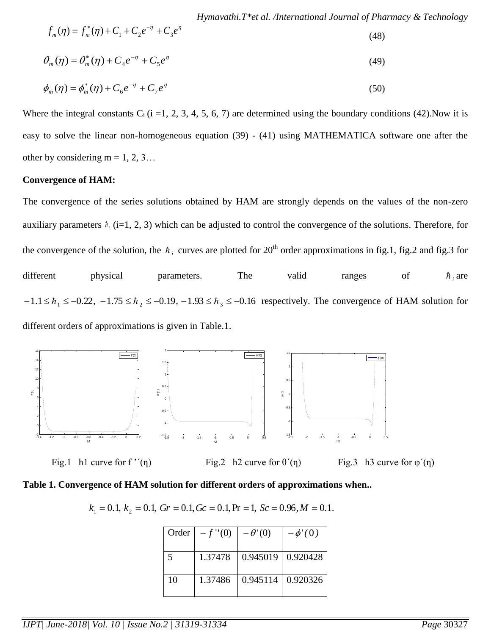$$
f_m(\eta) = f_m^*(\eta) + C_1 + C_2 e^{-\eta} + C_3 e^{\eta}
$$
\n(48)

$$
\theta_m(\eta) = \theta_m^*(\eta) + C_4 e^{-\eta} + C_5 e^{\eta}
$$
\n(49)

$$
\phi_m(\eta) = \phi_m^*(\eta) + C_6 e^{-\eta} + C_7 e^{\eta}
$$
\n(50)

Where the integral constants  $C_i$  (i =1, 2, 3, 4, 5, 6, 7) are determined using the boundary conditions (42). Now it is easy to solve the linear non-homogeneous equation (39) - (41) using MATHEMATICA software one after the other by considering  $m = 1, 2, 3...$ 

#### **Convergence of HAM:**

The convergence of the series solutions obtained by HAM are strongly depends on the values of the non-zero auxiliary parameters  $\hbar$ <sub>i</sub> (i=1, 2, 3) which can be adjusted to control the convergence of the solutions. Therefore, for the convergence of the solution, the  $h_i$  curves are plotted for 20<sup>th</sup> order approximations in fig.1, fig.2 and fig.3 for different physical parameters. The valid ranges of  $\hbar$ <sub>*i*</sub> are  $-1.1 \leq h_1 \leq -0.22$ ,  $-1.75 \leq h_2 \leq -0.19$ ,  $-1.93 \leq h_3 \leq -0.16$  respectively. The convergence of HAM solution for different orders of approximations is given in Table.1.



Fig.1 ħ1 curve for f ''(n) Fig.2 ħ2 curve for  $\theta'(\eta)$  Fig.3 ħ3 curve for  $\phi'(\eta)$ 

#### **Table 1. Convergence of HAM solution for different orders of approximations when..**

|  |  |  | $k_1 = 0.1, k_2 = 0.1, Gr = 0.1, Gc = 0.1, Pr = 1, Sc = 0.96, M = 0.1.$ |  |  |  |  |
|--|--|--|-------------------------------------------------------------------------|--|--|--|--|
|--|--|--|-------------------------------------------------------------------------|--|--|--|--|

| Order | $-f''(0)$ | $-\theta'(0)$       | $-\phi'(0)$           |
|-------|-----------|---------------------|-----------------------|
|       |           |                     |                       |
| 5     | 1.37478   | $0.945019$ 0.920428 |                       |
| 10    | 1.37486   |                     | $0.945114$   0.920326 |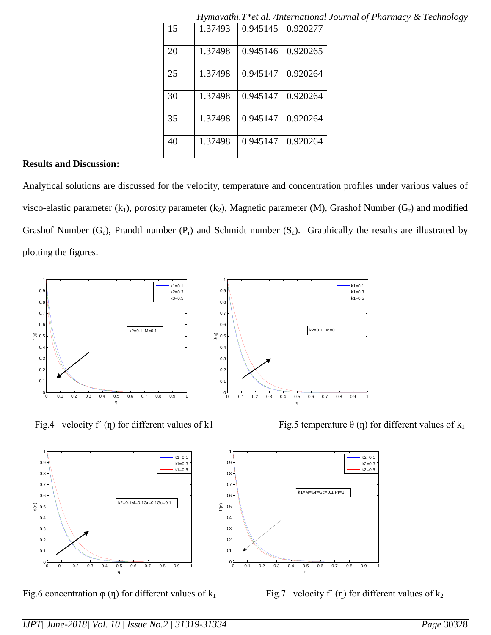|    | 11 <i>vouwvalled</i> . 1 |          | <u>ci ul. Antichiumonul</u> |
|----|--------------------------|----------|-----------------------------|
| 15 | 1.37493                  | 0.945145 | 0.920277                    |
| 20 | 1.37498                  | 0.945146 | 0.920265                    |
| 25 | 1.37498                  | 0.945147 | 0.920264                    |
| 30 | 1.37498                  | 0.945147 | 0.920264                    |
| 35 | 1.37498                  | 0.945147 | 0.920264                    |
| 40 | 1.37498                  | 0.945147 | 0.920264                    |

*Hymavathi.T\*et al. /International Journal of Pharmacy & Technology*

## **Results and Discussion:**

Analytical solutions are discussed for the velocity, temperature and concentration profiles under various values of visco-elastic parameter  $(k_1)$ , porosity parameter  $(k_2)$ , Magnetic parameter  $(M)$ , Grashof Number  $(G_r)$  and modified Grashof Number  $(G_c)$ , Prandtl number  $(P_r)$  and Schmidt number  $(S_c)$ . Graphically the results are illustrated by plotting the figures.





Fig.4 velocity f' (η) for different values of k1 Fig.5 temperature  $\theta$  (η) for different values of k<sub>1</sub>



Fig.6 concentration  $\varphi$  (η) for different values of k<sub>1</sub> Fig.7 velocity f' (η) for different values of k<sub>2</sub>

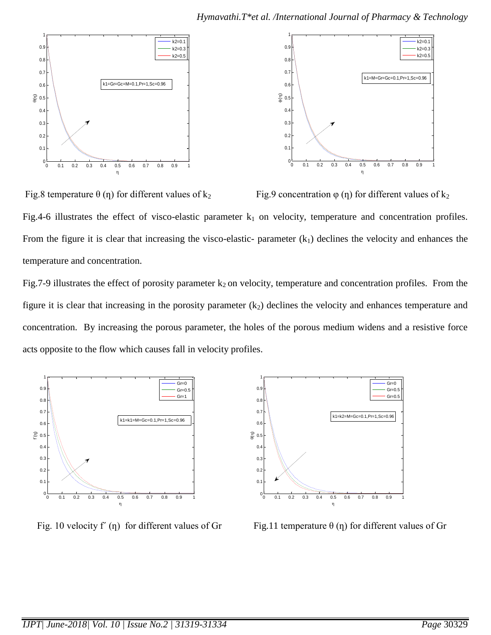

Fig.8 temperature  $\theta$  (η) for different values of k<sub>2</sub> Fig.9 concentration  $\phi$  (η) for different values of k<sub>2</sub> Fig.4-6 illustrates the effect of visco-elastic parameter  $k_1$  on velocity, temperature and concentration profiles. From the figure it is clear that increasing the visco-elastic- parameter  $(k_1)$  declines the velocity and enhances the temperature and concentration.

Fig.7-9 illustrates the effect of porosity parameter  $k_2$  on velocity, temperature and concentration profiles. From the figure it is clear that increasing in the porosity parameter  $(k_2)$  declines the velocity and enhances temperature and concentration. By increasing the porous parameter, the holes of the porous medium widens and a resistive force acts opposite to the flow which causes fall in velocity profiles.





Fig. 10 velocity f' (η) for different values of Gr Fig. 11 temperature  $\theta$  (η) for different values of Gr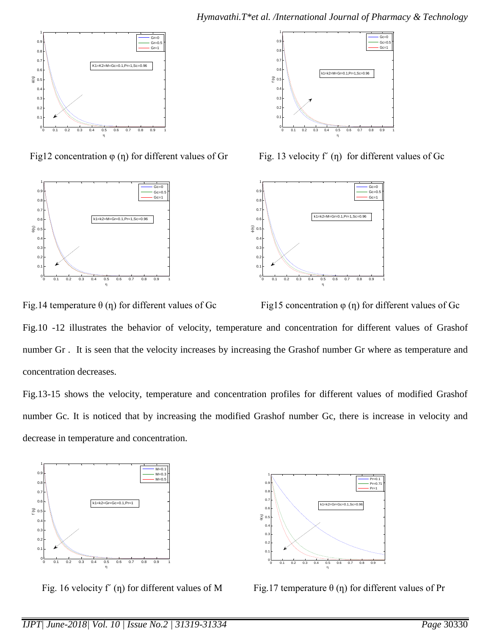

Fig. 13 velocity f' (η) for different values of Gr Fig. 13 velocity f' (η) for different values of Gc







Fig.14 temperature  $\theta$  (η) for different values of Gc Fig15 concentration  $\phi$  (η) for different values of Gc Fig.10 -12 illustrates the behavior of velocity, temperature and concentration for different values of Grashof number Gr . It is seen that the velocity increases by increasing the Grashof number Gr where as temperature and concentration decreases.

Fig.13-15 shows the velocity, temperature and concentration profiles for different values of modified Grashof number Gc. It is noticed that by increasing the modified Grashof number Gc, there is increase in velocity and decrease in temperature and concentration.





Fig. 16 velocity f' (η) for different values of M Fig.17 temperature  $\theta$  (η) for different values of Pr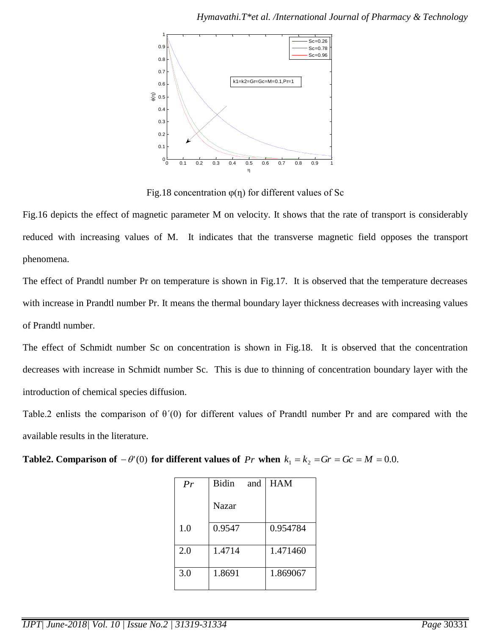

Fig.18 concentration  $\varphi(\eta)$  for different values of Sc

Fig.16 depicts the effect of magnetic parameter M on velocity. It shows that the rate of transport is considerably reduced with increasing values of M. It indicates that the transverse magnetic field opposes the transport phenomena.

The effect of Prandtl number Pr on temperature is shown in Fig.17. It is observed that the temperature decreases with increase in Prandtl number Pr. It means the thermal boundary layer thickness decreases with increasing values of Prandtl number.

The effect of Schmidt number Sc on concentration is shown in Fig.18. It is observed that the concentration decreases with increase in Schmidt number Sc. This is due to thinning of concentration boundary layer with the introduction of chemical species diffusion.

Table.2 enlists the comparison of θ´(0) for different values of Prandtl number Pr and are compared with the available results in the literature.

| <b>Table2. Comparison of</b> $-\theta'(0)$ for different values of Pr when $k_1 = k_2 = Gr = Gc = M = 0.0$ . |  |
|--------------------------------------------------------------------------------------------------------------|--|
|--------------------------------------------------------------------------------------------------------------|--|

| Pr  | <b>Bidin</b><br>and | <b>HAM</b> |
|-----|---------------------|------------|
|     | Nazar               |            |
| 1.0 | 0.9547              | 0.954784   |
| 2.0 | 1.4714              | 1.471460   |
| 3.0 | 1.8691              | 1.869067   |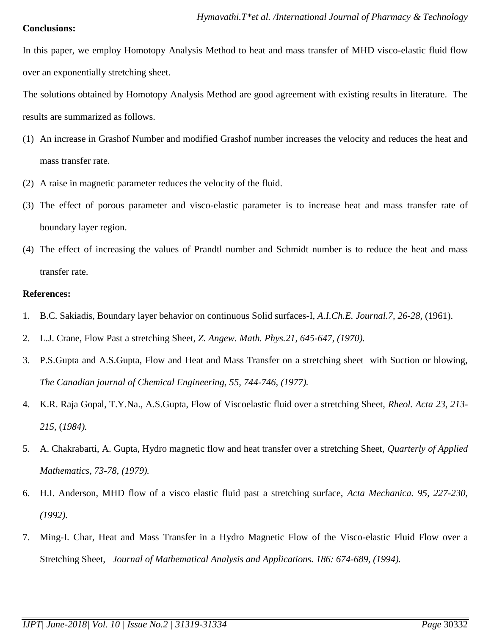## **Conclusions:**

In this paper, we employ Homotopy Analysis Method to heat and mass transfer of MHD visco-elastic fluid flow over an exponentially stretching sheet.

The solutions obtained by Homotopy Analysis Method are good agreement with existing results in literature. The results are summarized as follows.

- (1) An increase in Grashof Number and modified Grashof number increases the velocity and reduces the heat and mass transfer rate.
- (2) A raise in magnetic parameter reduces the velocity of the fluid.
- (3) The effect of porous parameter and visco-elastic parameter is to increase heat and mass transfer rate of boundary layer region.
- (4) The effect of increasing the values of Prandtl number and Schmidt number is to reduce the heat and mass transfer rate.

# **References:**

- 1. B.C. Sakiadis, Boundary layer behavior on continuous Solid surfaces-I, *A.I.Ch.E. Journal.7, 26-28,* (1961).
- 2. L.J. Crane, Flow Past a stretching Sheet, *Z. Angew. Math. Phys.21, 645-647, (1970).*
- 3. P.S.Gupta and A.S.Gupta, Flow and Heat and Mass Transfer on a stretching sheet with Suction or blowing, *The Canadian journal of Chemical Engineering, 55, 744-746, (1977).*
- 4. K.R. Raja Gopal, T.Y.Na., A.S.Gupta, Flow of Viscoelastic fluid over a stretching Sheet, *Rheol. Acta 23, 213- 215,* (*1984).*
- 5. A. Chakrabarti, A. Gupta, Hydro magnetic flow and heat transfer over a stretching Sheet, *Quarterly of Applied Mathematics, 73-78, (1979).*
- 6. H.I. Anderson, MHD flow of a visco elastic fluid past a stretching surface, *Acta Mechanica. 95, 227-230, (1992).*
- 7. Ming-I. Char, Heat and Mass Transfer in a Hydro Magnetic Flow of the Visco-elastic Fluid Flow over a Stretching Sheet*, Journal of Mathematical Analysis and Applications. 186: 674-689, (1994).*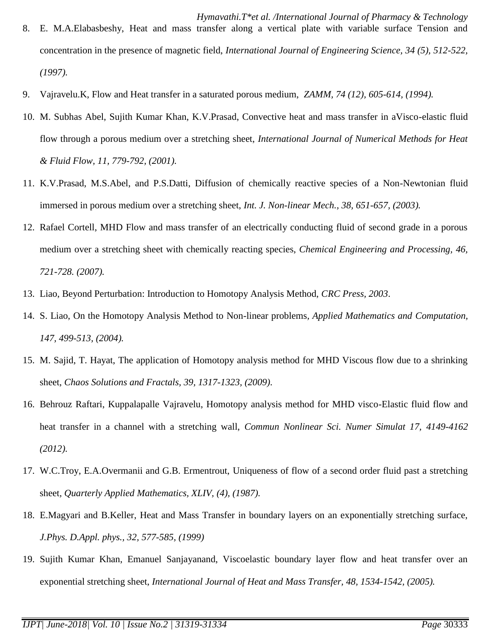- 9. Vajravelu.K, Flow and Heat transfer in a saturated porous medium, *ZAMM, 74 (12), 605-614, (1994).*
- 10. M. Subhas Abel, Sujith Kumar Khan, K.V.Prasad, Convective heat and mass transfer in aVisco-elastic fluid flow through a porous medium over a stretching sheet, *International Journal of Numerical Methods for Heat & Fluid Flow, 11, 779-792, (2001).*
- 11. K.V.Prasad, M.S.Abel, and P.S.Datti, Diffusion of chemically reactive species of a Non-Newtonian fluid immersed in porous medium over a stretching sheet, *Int. J. Non-linear Mech., 38, 651-657, (2003).*
- 12. Rafael Cortell, MHD Flow and mass transfer of an electrically conducting fluid of second grade in a porous medium over a stretching sheet with chemically reacting species, *Chemical Engineering and Processing, 46, 721-728. (2007).*
- 13. Liao, Beyond Perturbation: Introduction to Homotopy Analysis Method, *CRC Press, 2003*.
- 14. S. Liao, On the Homotopy Analysis Method to Non-linear problems*, Applied Mathematics and Computation, 147, 499-513, (2004).*
- 15. M. Sajid, T. Hayat, The application of Homotopy analysis method for MHD Viscous flow due to a shrinking sheet, *Chaos Solutions and Fractals, 39, 1317-1323, (2009).*
- 16. Behrouz Raftari, Kuppalapalle Vajravelu, Homotopy analysis method for MHD visco-Elastic fluid flow and heat transfer in a channel with a stretching wall, *Commun Nonlinear Sci. Numer Simulat 17, 4149-4162 (2012).*
- 17. W.C.Troy, E.A.Overmanii and G.B. Ermentrout, Uniqueness of flow of a second order fluid past a stretching sheet*, Quarterly Applied Mathematics, XLIV, (4), (1987).*
- 18. E.Magyari and B.Keller, Heat and Mass Transfer in boundary layers on an exponentially stretching surface, *J.Phys. D.Appl. phys., 32, 577-585, (1999)*
- 19. Sujith Kumar Khan, Emanuel Sanjayanand, Viscoelastic boundary layer flow and heat transfer over an exponential stretching sheet, *International Journal of Heat and Mass Transfer, 48, 1534-1542, (2005).*